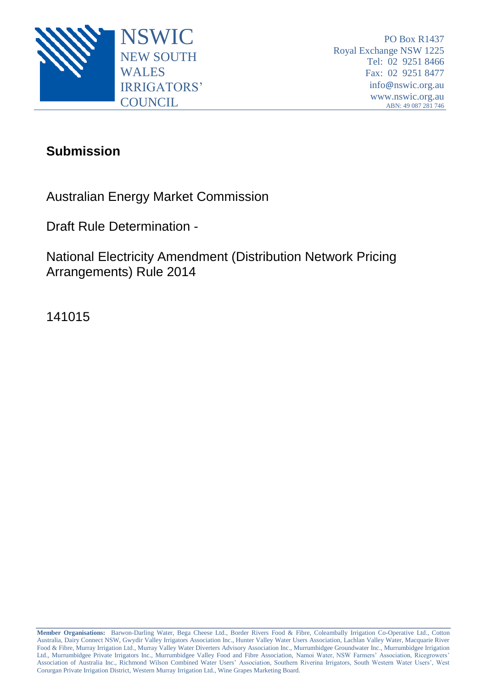

## **Submission**

Australian Energy Market Commission

Draft Rule Determination -

National Electricity Amendment (Distribution Network Pricing Arrangements) Rule 2014

141015

**Member Organisations:** Barwon-Darling Water, Bega Cheese Ltd., Border Rivers Food & Fibre, Coleambally Irrigation Co-Operative Ltd., Cotton Australia, Dairy Connect NSW, Gwydir Valley Irrigators Association Inc., Hunter Valley Water Users Association, Lachlan Valley Water, Macquarie River Food & Fibre, Murray Irrigation Ltd., Murray Valley Water Diverters Advisory Association Inc., Murrumbidgee Groundwater Inc., Murrumbidgee Irrigation Ltd., Murrumbidgee Private Irrigators Inc., Murrumbidgee Valley Food and Fibre Association, Namoi Water, NSW Farmers' Association, Ricegrowers' Association of Australia Inc., Richmond Wilson Combined Water Users' Association, Southern Riverina Irrigators, South Western Water Users', West Corurgan Private Irrigation District, Western Murray Irrigation Ltd., Wine Grapes Marketing Board.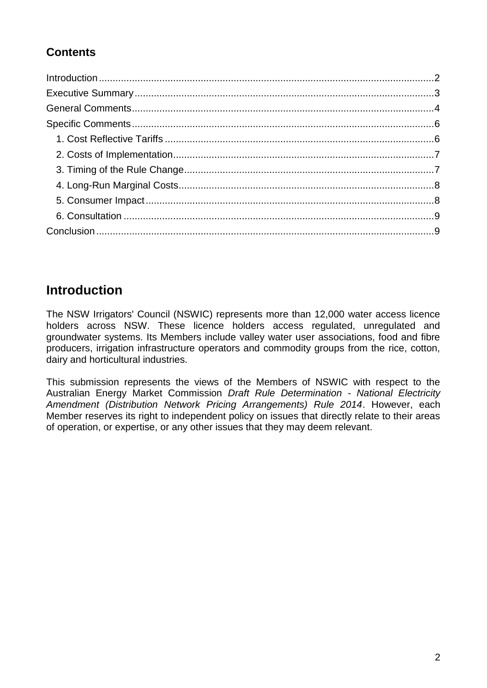### **Contents**

# <span id="page-1-0"></span>**Introduction**

The NSW Irrigators' Council (NSWIC) represents more than 12,000 water access licence holders across NSW. These licence holders access regulated, unregulated and groundwater systems. Its Members include valley water user associations, food and fibre producers, irrigation infrastructure operators and commodity groups from the rice, cotton, dairy and horticultural industries.

This submission represents the views of the Members of NSWIC with respect to the Australian Energy Market Commission *Draft Rule Determination - National Electricity Amendment (Distribution Network Pricing Arrangements) Rule 2014*. However, each Member reserves its right to independent policy on issues that directly relate to their areas of operation, or expertise, or any other issues that they may deem relevant.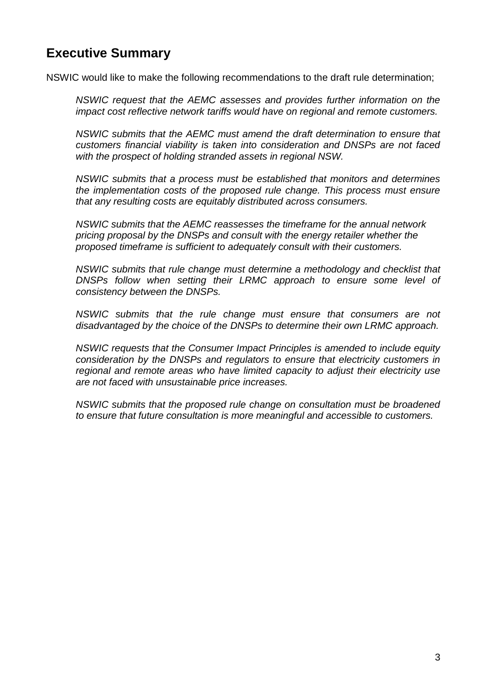### <span id="page-2-0"></span>**Executive Summary**

NSWIC would like to make the following recommendations to the draft rule determination;

*NSWIC request that the AEMC assesses and provides further information on the impact cost reflective network tariffs would have on regional and remote customers.*

*NSWIC submits that the AEMC must amend the draft determination to ensure that customers financial viability is taken into consideration and DNSPs are not faced with the prospect of holding stranded assets in regional NSW.*

*NSWIC submits that a process must be established that monitors and determines the implementation costs of the proposed rule change. This process must ensure that any resulting costs are equitably distributed across consumers.*

*NSWIC submits that the AEMC reassesses the timeframe for the annual network pricing proposal by the DNSPs and consult with the energy retailer whether the proposed timeframe is sufficient to adequately consult with their customers.*

*NSWIC submits that rule change must determine a methodology and checklist that DNSPs follow when setting their LRMC approach to ensure some level of consistency between the DNSPs.*

*NSWIC submits that the rule change must ensure that consumers are not disadvantaged by the choice of the DNSPs to determine their own LRMC approach.*

*NSWIC requests that the Consumer Impact Principles is amended to include equity consideration by the DNSPs and regulators to ensure that electricity customers in regional and remote areas who have limited capacity to adjust their electricity use are not faced with unsustainable price increases.* 

*NSWIC submits that the proposed rule change on consultation must be broadened to ensure that future consultation is more meaningful and accessible to customers.*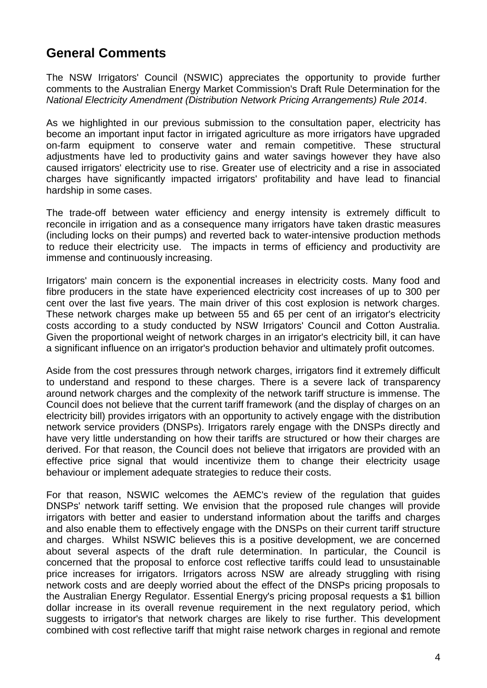## <span id="page-3-0"></span>**General Comments**

The NSW Irrigators' Council (NSWIC) appreciates the opportunity to provide further comments to the Australian Energy Market Commission's Draft Rule Determination for the *National Electricity Amendment (Distribution Network Pricing Arrangements) Rule 2014*.

As we highlighted in our previous submission to the consultation paper, electricity has become an important input factor in irrigated agriculture as more irrigators have upgraded on-farm equipment to conserve water and remain competitive. These structural adjustments have led to productivity gains and water savings however they have also caused irrigators' electricity use to rise. Greater use of electricity and a rise in associated charges have significantly impacted irrigators' profitability and have lead to financial hardship in some cases.

The trade-off between water efficiency and energy intensity is extremely difficult to reconcile in irrigation and as a consequence many irrigators have taken drastic measures (including locks on their pumps) and reverted back to water-intensive production methods to reduce their electricity use. The impacts in terms of efficiency and productivity are immense and continuously increasing.

Irrigators' main concern is the exponential increases in electricity costs. Many food and fibre producers in the state have experienced electricity cost increases of up to 300 per cent over the last five years. The main driver of this cost explosion is network charges. These network charges make up between 55 and 65 per cent of an irrigator's electricity costs according to a study conducted by NSW Irrigators' Council and Cotton Australia. Given the proportional weight of network charges in an irrigator's electricity bill, it can have a significant influence on an irrigator's production behavior and ultimately profit outcomes.

Aside from the cost pressures through network charges, irrigators find it extremely difficult to understand and respond to these charges. There is a severe lack of transparency around network charges and the complexity of the network tariff structure is immense. The Council does not believe that the current tariff framework (and the display of charges on an electricity bill) provides irrigators with an opportunity to actively engage with the distribution network service providers (DNSPs). Irrigators rarely engage with the DNSPs directly and have very little understanding on how their tariffs are structured or how their charges are derived. For that reason, the Council does not believe that irrigators are provided with an effective price signal that would incentivize them to change their electricity usage behaviour or implement adequate strategies to reduce their costs.

For that reason, NSWIC welcomes the AEMC's review of the regulation that guides DNSPs' network tariff setting. We envision that the proposed rule changes will provide irrigators with better and easier to understand information about the tariffs and charges and also enable them to effectively engage with the DNSPs on their current tariff structure and charges. Whilst NSWIC believes this is a positive development, we are concerned about several aspects of the draft rule determination. In particular, the Council is concerned that the proposal to enforce cost reflective tariffs could lead to unsustainable price increases for irrigators. Irrigators across NSW are already struggling with rising network costs and are deeply worried about the effect of the DNSPs pricing proposals to the Australian Energy Regulator. Essential Energy's pricing proposal requests a \$1 billion dollar increase in its overall revenue requirement in the next regulatory period, which suggests to irrigator's that network charges are likely to rise further. This development combined with cost reflective tariff that might raise network charges in regional and remote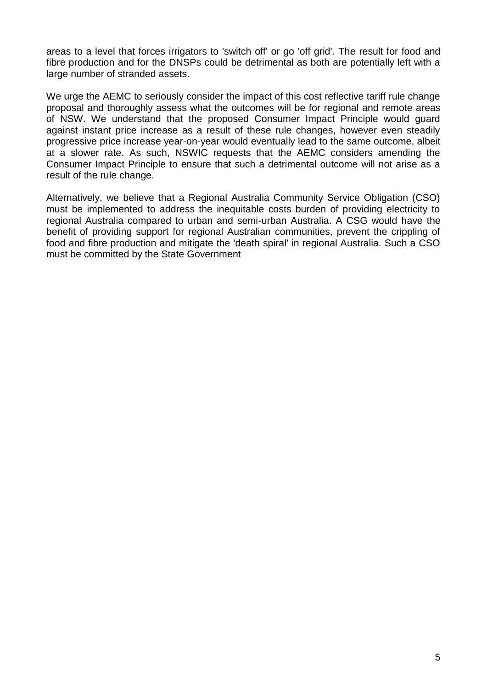areas to a level that forces irrigators to 'switch off' or go 'off grid'. The result for food and fibre production and for the DNSPs could be detrimental as both are potentially left with a large number of stranded assets.

We urge the AEMC to seriously consider the impact of this cost reflective tariff rule change proposal and thoroughly assess what the outcomes will be for regional and remote areas of NSW. We understand that the proposed Consumer Impact Principle would guard against instant price increase as a result of these rule changes, however even steadily progressive price increase year-on-year would eventually lead to the same outcome, albeit at a slower rate. As such, NSWIC requests that the AEMC considers amending the Consumer Impact Principle to ensure that such a detrimental outcome will not arise as a result of the rule change.

Alternatively, we believe that a Regional Australia Community Service Obligation (CSO) must be implemented to address the inequitable costs burden of providing electricity to regional Australia compared to urban and semi-urban Australia. A CSG would have the benefit of providing support for regional Australian communities, prevent the crippling of food and fibre production and mitigate the 'death spiral' in regional Australia. Such a CSO must be committed by the State Government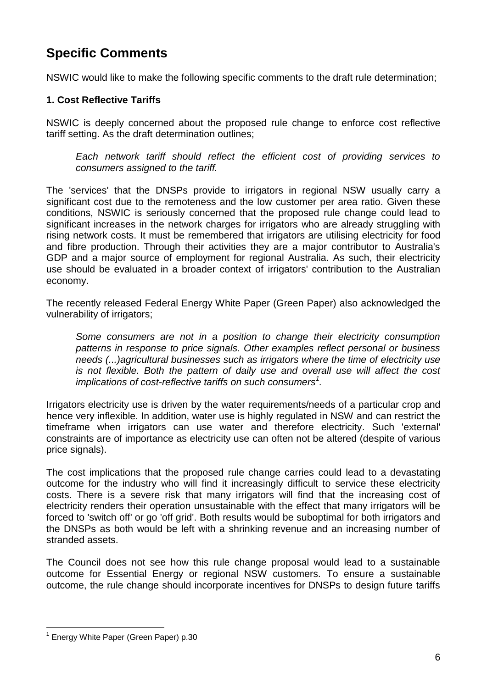# <span id="page-5-0"></span>**Specific Comments**

NSWIC would like to make the following specific comments to the draft rule determination;

### <span id="page-5-1"></span>**1. Cost Reflective Tariffs**

NSWIC is deeply concerned about the proposed rule change to enforce cost reflective tariff setting. As the draft determination outlines;

*Each network tariff should reflect the efficient cost of providing services to consumers assigned to the tariff.*

The 'services' that the DNSPs provide to irrigators in regional NSW usually carry a significant cost due to the remoteness and the low customer per area ratio. Given these conditions, NSWIC is seriously concerned that the proposed rule change could lead to significant increases in the network charges for irrigators who are already struggling with rising network costs. It must be remembered that irrigators are utilising electricity for food and fibre production. Through their activities they are a major contributor to Australia's GDP and a major source of employment for regional Australia. As such, their electricity use should be evaluated in a broader context of irrigators' contribution to the Australian economy.

The recently released Federal Energy White Paper (Green Paper) also acknowledged the vulnerability of irrigators;

*Some consumers are not in a position to change their electricity consumption patterns in response to price signals. Other examples reflect personal or business needs (...)agricultural businesses such as irrigators where the time of electricity use is not flexible. Both the pattern of daily use and overall use will affect the cost implications of cost-reflective tariffs on such consumers<sup>1</sup> .*

Irrigators electricity use is driven by the water requirements/needs of a particular crop and hence very inflexible. In addition, water use is highly regulated in NSW and can restrict the timeframe when irrigators can use water and therefore electricity. Such 'external' constraints are of importance as electricity use can often not be altered (despite of various price signals).

The cost implications that the proposed rule change carries could lead to a devastating outcome for the industry who will find it increasingly difficult to service these electricity costs. There is a severe risk that many irrigators will find that the increasing cost of electricity renders their operation unsustainable with the effect that many irrigators will be forced to 'switch off' or go 'off grid'. Both results would be suboptimal for both irrigators and the DNSPs as both would be left with a shrinking revenue and an increasing number of stranded assets.

The Council does not see how this rule change proposal would lead to a sustainable outcome for Essential Energy or regional NSW customers. To ensure a sustainable outcome, the rule change should incorporate incentives for DNSPs to design future tariffs

 1 Energy White Paper (Green Paper) p.30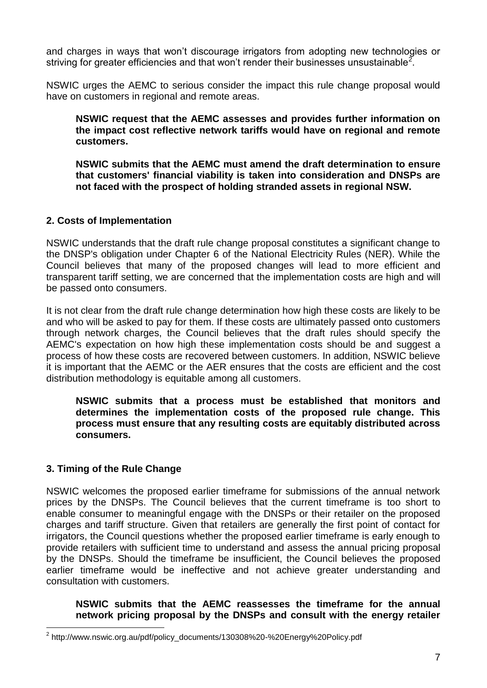and charges in ways that won't discourage irrigators from adopting new technologies or striving for greater efficiencies and that won't render their businesses unsustainable<sup>2</sup>.

NSWIC urges the AEMC to serious consider the impact this rule change proposal would have on customers in regional and remote areas.

**NSWIC request that the AEMC assesses and provides further information on the impact cost reflective network tariffs would have on regional and remote customers.**

**NSWIC submits that the AEMC must amend the draft determination to ensure that customers' financial viability is taken into consideration and DNSPs are not faced with the prospect of holding stranded assets in regional NSW.**

#### <span id="page-6-0"></span>**2. Costs of Implementation**

NSWIC understands that the draft rule change proposal constitutes a significant change to the DNSP's obligation under Chapter 6 of the National Electricity Rules (NER). While the Council believes that many of the proposed changes will lead to more efficient and transparent tariff setting, we are concerned that the implementation costs are high and will be passed onto consumers.

It is not clear from the draft rule change determination how high these costs are likely to be and who will be asked to pay for them. If these costs are ultimately passed onto customers through network charges, the Council believes that the draft rules should specify the AEMC's expectation on how high these implementation costs should be and suggest a process of how these costs are recovered between customers. In addition, NSWIC believe it is important that the AEMC or the AER ensures that the costs are efficient and the cost distribution methodology is equitable among all customers.

**NSWIC submits that a process must be established that monitors and determines the implementation costs of the proposed rule change. This process must ensure that any resulting costs are equitably distributed across consumers.**

### <span id="page-6-1"></span>**3. Timing of the Rule Change**

NSWIC welcomes the proposed earlier timeframe for submissions of the annual network prices by the DNSPs. The Council believes that the current timeframe is too short to enable consumer to meaningful engage with the DNSPs or their retailer on the proposed charges and tariff structure. Given that retailers are generally the first point of contact for irrigators, the Council questions whether the proposed earlier timeframe is early enough to provide retailers with sufficient time to understand and assess the annual pricing proposal by the DNSPs. Should the timeframe be insufficient, the Council believes the proposed earlier timeframe would be ineffective and not achieve greater understanding and consultation with customers.

**NSWIC submits that the AEMC reassesses the timeframe for the annual network pricing proposal by the DNSPs and consult with the energy retailer** 

 $\overline{a}$ <sup>2</sup> http://www.nswic.org.au/pdf/policy\_documents/130308%20-%20Energy%20Policy.pdf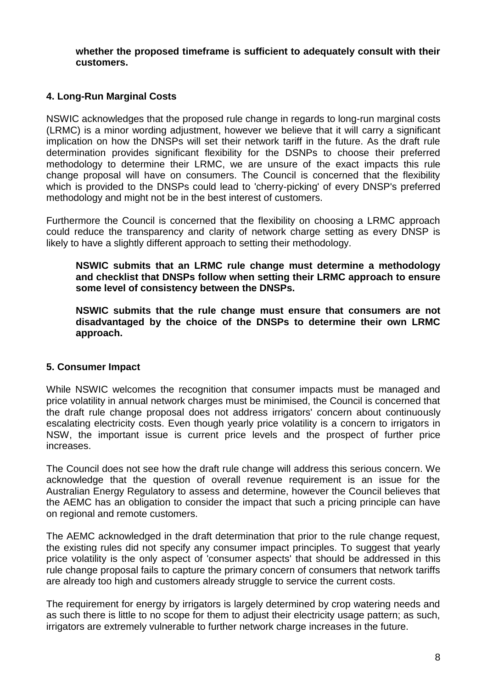**whether the proposed timeframe is sufficient to adequately consult with their customers.**

#### <span id="page-7-0"></span>**4. Long-Run Marginal Costs**

NSWIC acknowledges that the proposed rule change in regards to long-run marginal costs (LRMC) is a minor wording adjustment, however we believe that it will carry a significant implication on how the DNSPs will set their network tariff in the future. As the draft rule determination provides significant flexibility for the DSNPs to choose their preferred methodology to determine their LRMC, we are unsure of the exact impacts this rule change proposal will have on consumers. The Council is concerned that the flexibility which is provided to the DNSPs could lead to 'cherry-picking' of every DNSP's preferred methodology and might not be in the best interest of customers.

Furthermore the Council is concerned that the flexibility on choosing a LRMC approach could reduce the transparency and clarity of network charge setting as every DNSP is likely to have a slightly different approach to setting their methodology.

**NSWIC submits that an LRMC rule change must determine a methodology and checklist that DNSPs follow when setting their LRMC approach to ensure some level of consistency between the DNSPs.**

**NSWIC submits that the rule change must ensure that consumers are not disadvantaged by the choice of the DNSPs to determine their own LRMC approach.**

#### <span id="page-7-1"></span>**5. Consumer Impact**

While NSWIC welcomes the recognition that consumer impacts must be managed and price volatility in annual network charges must be minimised, the Council is concerned that the draft rule change proposal does not address irrigators' concern about continuously escalating electricity costs. Even though yearly price volatility is a concern to irrigators in NSW, the important issue is current price levels and the prospect of further price increases.

The Council does not see how the draft rule change will address this serious concern. We acknowledge that the question of overall revenue requirement is an issue for the Australian Energy Regulatory to assess and determine, however the Council believes that the AEMC has an obligation to consider the impact that such a pricing principle can have on regional and remote customers.

The AEMC acknowledged in the draft determination that prior to the rule change request, the existing rules did not specify any consumer impact principles. To suggest that yearly price volatility is the only aspect of 'consumer aspects' that should be addressed in this rule change proposal fails to capture the primary concern of consumers that network tariffs are already too high and customers already struggle to service the current costs.

The requirement for energy by irrigators is largely determined by crop watering needs and as such there is little to no scope for them to adjust their electricity usage pattern; as such, irrigators are extremely vulnerable to further network charge increases in the future.